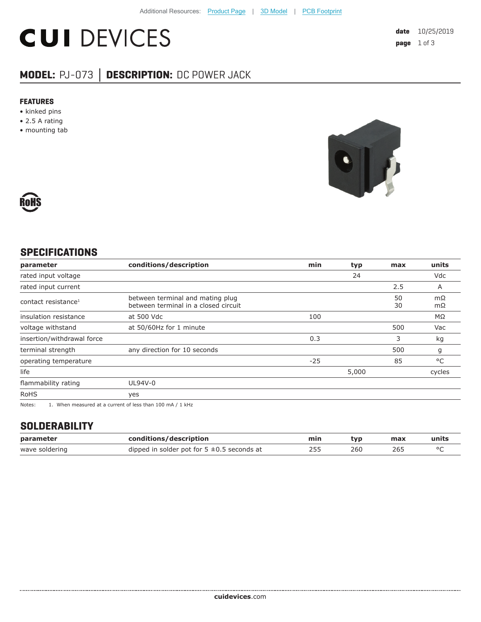# **CUI DEVICES**

## **MODEL:** PJ-073 **│ DESCRIPTION:** DC POWER JACK

#### **FEATURES**

- kinked pins
- 2.5 A rating
- mounting tab





### **SPECIFICATIONS**

| parameter                                                                | conditions/description                                                   | min   | typ   | max      | units     |
|--------------------------------------------------------------------------|--------------------------------------------------------------------------|-------|-------|----------|-----------|
| rated input voltage                                                      |                                                                          |       | 24    |          | Vdc       |
| rated input current                                                      |                                                                          |       |       | 2.5      | A         |
| contact resistance <sup>1</sup>                                          | between terminal and mating plug<br>between terminal in a closed circuit |       |       | 50<br>30 | mΩ<br>mΩ  |
| insulation resistance                                                    | at 500 Vdc                                                               | 100   |       |          | $M\Omega$ |
| voltage withstand                                                        | at 50/60Hz for 1 minute                                                  |       |       | 500      | Vac       |
| insertion/withdrawal force                                               |                                                                          | 0.3   |       | 3        | kg        |
| terminal strength                                                        | any direction for 10 seconds                                             |       |       | 500      | g         |
| operating temperature                                                    |                                                                          | $-25$ |       | 85       | °C        |
| life                                                                     |                                                                          |       | 5,000 |          | cycles    |
| flammability rating                                                      | UL94V-0                                                                  |       |       |          |           |
| <b>RoHS</b>                                                              | yes                                                                      |       |       |          |           |
| $\sim$ $\sim$ $\sim$ $\sim$<br>$\sim$ $\sim$ $\sim$ $\sim$ $\sim$ $\sim$ |                                                                          |       |       |          |           |

Notes: 1. When measured at a current of less than 100 mA / 1 kHz

#### **SOLDERABILITY**

| parameter      | conditions/description                          | min | tvo | max | units |
|----------------|-------------------------------------------------|-----|-----|-----|-------|
| wave soldering | dipped in solder pot for $5 \pm 0.5$ seconds at |     | 260 | 26. |       |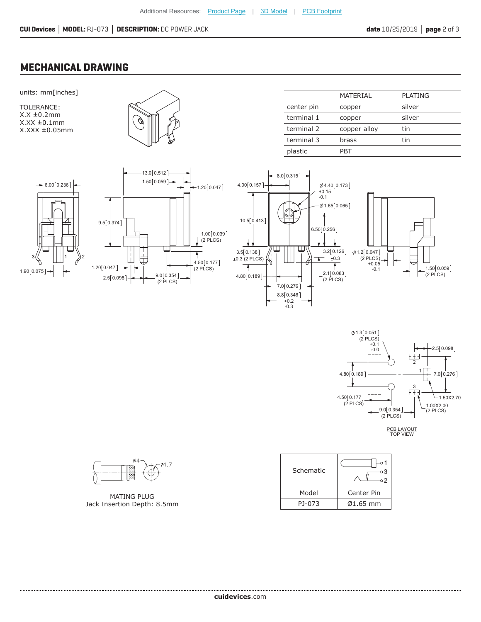#### **MECHANICAL DRAWING**

3(( ||||1 ))2

 $1.90 [0.075] \rightarrow$ 

 $6.00 [0.236]$ 

units: mm[inches] TOLERANCE:  $X.X \pm 0.2$ mm  $X.XX \pm 0.1$ mm X.XXX ±0.05mm

|                                                                           |                             | center pin                           | C                                              |
|---------------------------------------------------------------------------|-----------------------------|--------------------------------------|------------------------------------------------|
|                                                                           |                             | terminal 1                           | C                                              |
|                                                                           |                             | terminal 2                           | C                                              |
|                                                                           |                             | terminal 3                           | b                                              |
|                                                                           |                             | plastic                              | P                                              |
| 13.0 [0.512]<br>$1.50[0.059] \rightarrow$<br>$-1.20[0.047]$<br>9.5[0.374] | 4.00[0.157]<br>10.5 [0.413] | $-8.0[0.315] -$<br>$+0.15$<br>$-0.1$ | $\emptyset$ 4.40 [0.1]<br>$\phi$ 1.65 $[0.00]$ |

 $4.50 [0.177]$ (2 PLCS)

Ŧ

(2 PLCS) 0.039 1.00

|            | MATERIAL     | <b>PLATING</b> |
|------------|--------------|----------------|
| center pin | copper       | silver         |
| terminal 1 | copper       | silver         |
| terminal 2 | copper alloy | tin            |
| terminal 3 | brass        | tin            |
| plastic    | PRT          |                |





PCB LAYOUT

| Schematic | o 1<br>oЗ             |
|-----------|-----------------------|
| Model     | Center Pin            |
| PJ-073    | $\varnothing$ 1.65 mm |



 $2.5[0.098]$   $\rightarrow$  9.0 0.354]

 $1.20[0.047] \rightarrow |$ 

(2 PLCS)

MATING PLUG Jack Insertion Depth: 8.5mm